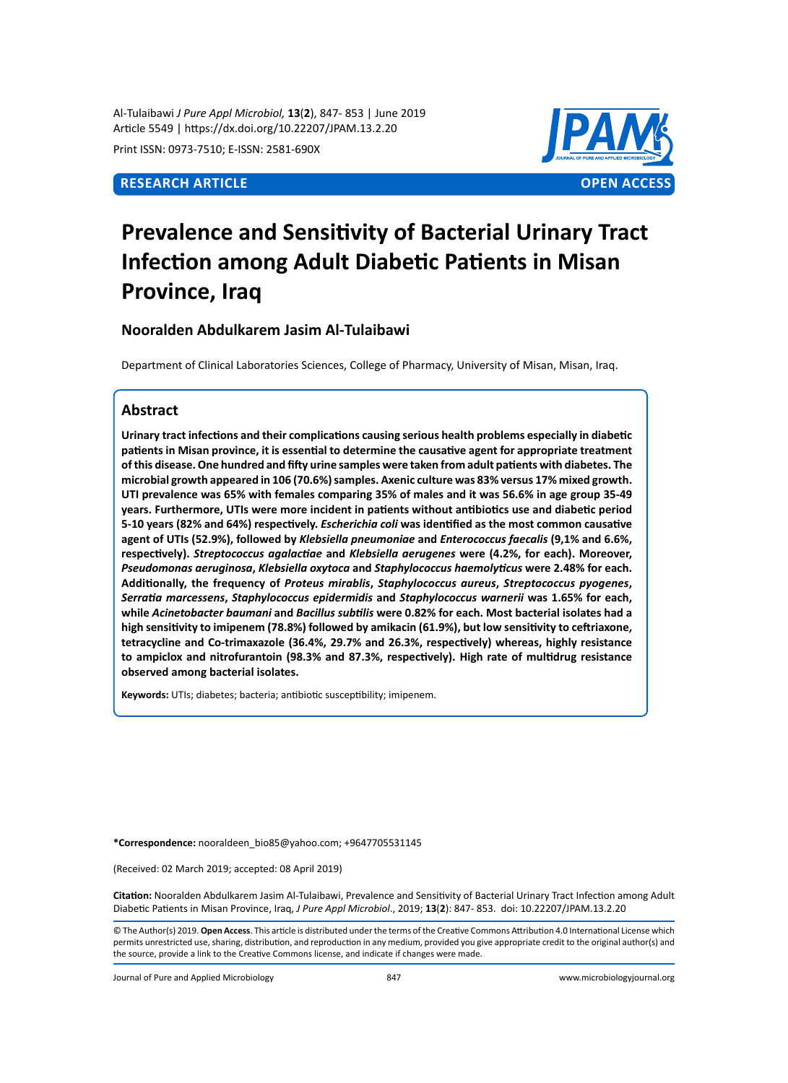Al-Tulaibawi *J Pure Appl Microbiol,* **13**(**2**), 847- 853 | June 2019 Article 5549 | https://dx.doi.org/10.22207/JPAM.13.2.20

Print ISSN: 0973-7510; E-ISSN: 2581-690X



# **Prevalence and Sensitivity of Bacterial Urinary Tract Infection among Adult Diabetic Patients in Misan Province, Iraq**

### **Nooralden Abdulkarem Jasim Al-Tulaibawi**

Department of Clinical Laboratories Sciences, College of Pharmacy, University of Misan, Misan, Iraq.

## **Abstract**

**Urinary tract infections and their complications causing serious health problems especially in diabetic patients in Misan province, it is essential to determine the causative agent for appropriate treatment of this disease. One hundred and fifty urine samples were taken from adult patients with diabetes. The microbial growth appeared in 106 (70.6%) samples. Axenic culture was 83% versus 17% mixed growth. UTI prevalence was 65% with females comparing 35% of males and it was 56.6% in age group 35-49 years. Furthermore, UTIs were more incident in patients without antibiotics use and diabetic period 5-10 years (82% and 64%) respectively.** *Escherichia coli* **was identified as the most common causative agent of UTIs (52.9%), followed by** *Klebsiella pneumoniae* **and** *Enterococcus faecalis* **(9,1% and 6.6%, respectively).** *Streptococcus agalactiae* **and** *Klebsiella aerugenes* **were (4.2%, for each). Moreover,**  *Pseudomonas aeruginosa***,** *Klebsiella oxytoca* **and** *Staphylococcus haemolyticus* **were 2.48% for each. Additionally, the frequency of** *Proteus mirablis***,** *Staphylococcus aureus***,** *Streptococcus pyogenes***,**  *Serratia marcessens***,** *Staphylococcus epidermidis* **and** *Staphylococcus warnerii* **was 1.65% for each, while** *Acinetobacter baumani* **and** *Bacillus subtilis* **were 0.82% for each. Most bacterial isolates had a high sensitivity to imipenem (78.8%) followed by amikacin (61.9%), but low sensitivity to ceftriaxone, tetracycline and Co-trimaxazole (36.4%, 29.7% and 26.3%, respectively) whereas, highly resistance to ampiclox and nitrofurantoin (98.3% and 87.3%, respectively). High rate of multidrug resistance observed among bacterial isolates.**

**Keywords:** UTIs; diabetes; bacteria; antibiotic susceptibility; imipenem.

**\*Correspondence:** nooraldeen\_bio85@yahoo.com; +9647705531145

(Received: 02 March 2019; accepted: 08 April 2019)

**Citation:** Nooralden Abdulkarem Jasim Al-Tulaibawi, Prevalence and Sensitivity of Bacterial Urinary Tract Infection among Adult Diabetic Patients in Misan Province, Iraq, *J Pure Appl Microbiol*., 2019; **13**(**2**): 847- 853. doi: 10.22207/JPAM.13.2.20

© The Author(s) 2019. **Open Access**. This article is distributed under the terms of the Creative Commons Attribution 4.0 International License which permits unrestricted use, sharing, distribution, and reproduction in any medium, provided you give appropriate credit to the original author(s) and the source, provide a link to the Creative Commons license, and indicate if changes were made.

Journal of Pure and Applied Microbiology 847 www.microbiologyjournal.org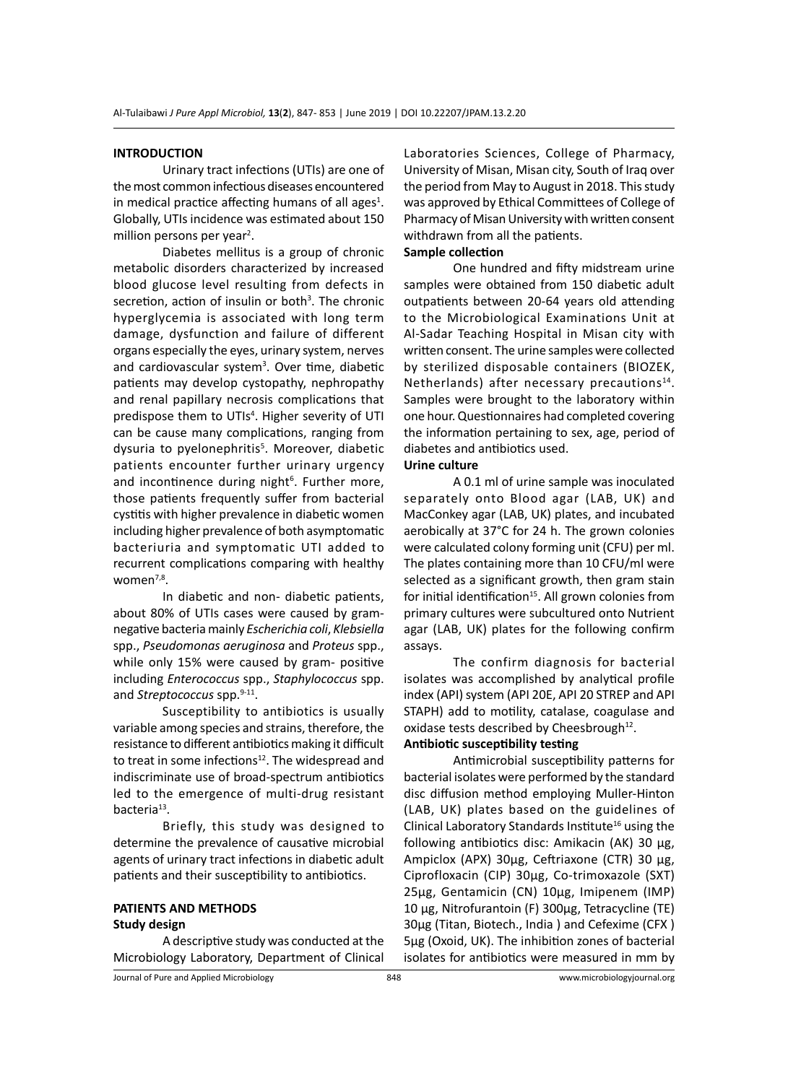#### **INTRODUCTION**

Urinary tract infections (UTIs) are one of the most common infectious diseases encountered in medical practice affecting humans of all ages $<sup>1</sup>$ .</sup> Globally, UTIs incidence was estimated about 150 million persons per year<sup>2</sup>.

Diabetes mellitus is a group of chronic metabolic disorders characterized by increased blood glucose level resulting from defects in secretion, action of insulin or both<sup>3</sup>. The chronic hyperglycemia is associated with long term damage, dysfunction and failure of different organs especially the eyes, urinary system, nerves and cardiovascular system<sup>3</sup>. Over time, diabetic patients may develop cystopathy, nephropathy and renal papillary necrosis complications that predispose them to UTIs<sup>4</sup>. Higher severity of UTI can be cause many complications, ranging from dysuria to pyelonephritis<sup>5</sup>. Moreover, diabetic patients encounter further urinary urgency and incontinence during night<sup>6</sup>. Further more, those patients frequently suffer from bacterial cystitis with higher prevalence in diabetic women including higher prevalence of both asymptomatic bacteriuria and symptomatic UTI added to recurrent complications comparing with healthy women<sup>7,8</sup>.

In diabetic and non- diabetic patients, about 80% of UTIs cases were caused by gramnegative bacteria mainly *Escherichia coli*, *Klebsiella* spp., *Pseudomonas aeruginosa* and *Proteus* spp., while only 15% were caused by gram- positive including *Enterococcus* spp., *Staphylococcus* spp. and *Streptococcus* spp.9-11.

Susceptibility to antibiotics is usually variable among species and strains, therefore, the resistance to different antibiotics making it difficult to treat in some infections<sup>12</sup>. The widespread and indiscriminate use of broad-spectrum antibiotics led to the emergence of multi-drug resistant bacteria<sup>13</sup>.

Briefly, this study was designed to determine the prevalence of causative microbial agents of urinary tract infections in diabetic adult patients and their susceptibility to antibiotics.

# **PATIENTS AND METHODS**

# **Study design**

A descriptive study was conducted at the Microbiology Laboratory, Department of Clinical Laboratories Sciences, College of Pharmacy, University of Misan, Misan city, South of Iraq over the period from May to August in 2018. This study was approved by Ethical Committees of College of Pharmacy of Misan University with written consent withdrawn from all the patients.

#### **Sample collection**

One hundred and fifty midstream urine samples were obtained from 150 diabetic adult outpatients between 20-64 years old attending to the Microbiological Examinations Unit at Al-Sadar Teaching Hospital in Misan city with written consent. The urine samples were collected by sterilized disposable containers (BIOZEK, Netherlands) after necessary precautions<sup>14</sup>. Samples were brought to the laboratory within one hour. Questionnaires had completed covering the information pertaining to sex, age, period of diabetes and antibiotics used.

#### **Urine culture**

A 0.1 ml of urine sample was inoculated separately onto Blood agar (LAB, UK) and MacConkey agar (LAB, UK) plates, and incubated aerobically at 37°C for 24 h. The grown colonies were calculated colony forming unit (CFU) per ml. The plates containing more than 10 CFU/ml were selected as a significant growth, then gram stain for initial identification $15$ . All grown colonies from primary cultures were subcultured onto Nutrient agar (LAB, UK) plates for the following confirm assays.

The confirm diagnosis for bacterial isolates was accomplished by analytical profile index (API) system (API 20E, API 20 STREP and API STAPH) add to motility, catalase, coagulase and oxidase tests described by Cheesbrough<sup>12</sup>.

#### **Antibiotic susceptibility testing**

Antimicrobial susceptibility patterns for bacterial isolates were performed by the standard disc diffusion method employing Muller-Hinton (LAB, UK) plates based on the guidelines of Clinical Laboratory Standards Institute<sup>16</sup> using the following antibiotics disc: Amikacin (AK) 30 µg, Ampiclox (APX) 30µg, Ceftriaxone (CTR) 30 µg, Ciprofloxacin (CIP) 30µg, Co-trimoxazole (SXT) 25µg, Gentamicin (CN) 10µg, Imipenem (IMP) 10 µg, Nitrofurantoin (F) 300µg, Tetracycline (TE) 30µg (Titan, Biotech., India ) and Cefexime (CFX ) 5µg (Oxoid, UK). The inhibition zones of bacterial isolates for antibiotics were measured in mm by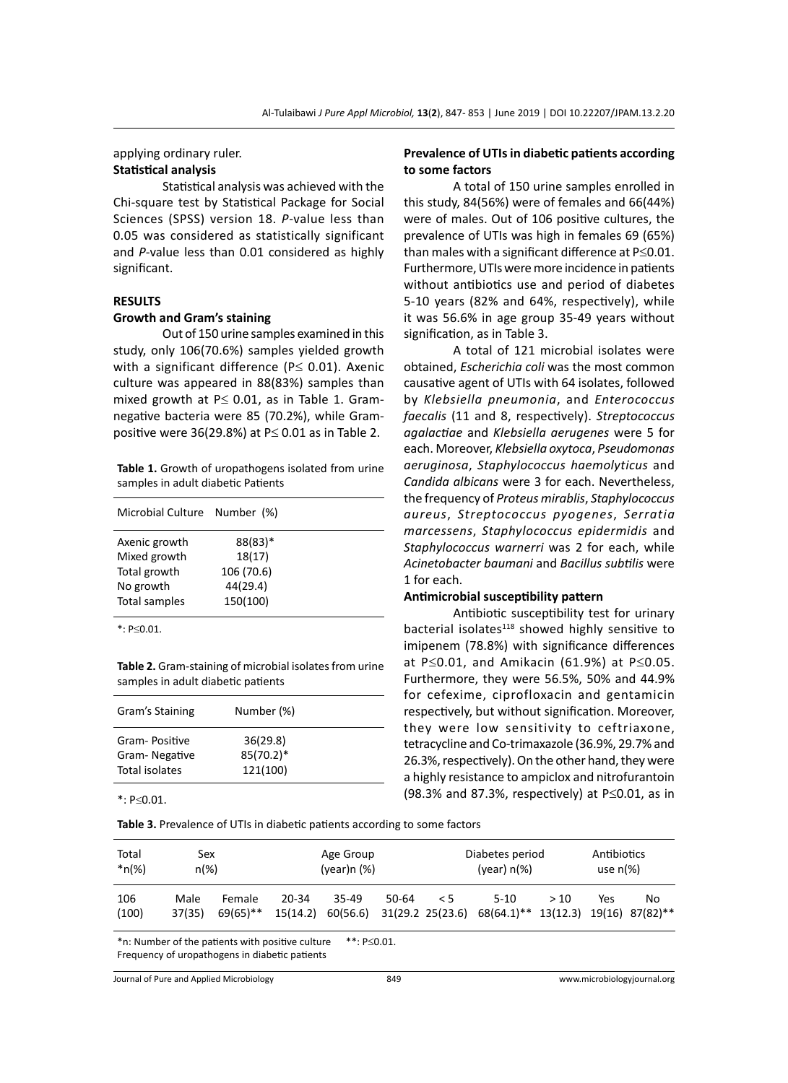applying ordinary ruler.

# **Statistical analysis**

Statistical analysis was achieved with the Chi-square test by Statistical Package for Social Sciences (SPSS) version 18. *P*-value less than 0.05 was considered as statistically significant and *P*-value less than 0.01 considered as highly significant.

#### **RESULTS**

#### **Growth and Gram's staining**

Out of 150 urine samples examined in this study, only 106(70.6%) samples yielded growth with a significant difference (P≤ 0.01). Axenic culture was appeared in 88(83%) samples than mixed growth at P≤ 0.01, as in Table 1. Gramnegative bacteria were 85 (70.2%), while Grampositive were  $36(29.8%)$  at P $\leq$  0.01 as in Table 2.

**Table 1.** Growth of uropathogens isolated from urine samples in adult diabetic Patients

| Microbial Culture Number (%) |            |  |
|------------------------------|------------|--|
| Axenic growth                | 88(83)*    |  |
| Mixed growth                 | 18(17)     |  |
| Total growth                 | 106 (70.6) |  |
| No growth                    | 44(29.4)   |  |
| Total samples                | 150(100)   |  |
|                              |            |  |

\*: P≤0.01.

**Table 2.** Gram-staining of microbial isolates from urine samples in adult diabetic patients

| Gram's Staining                                  | Number (%)                           |  |
|--------------------------------------------------|--------------------------------------|--|
| Gram-Positive<br>Gram-Negative<br>Total isolates | 36(29.8)<br>$85(70.2)^*$<br>121(100) |  |

<sup>\*:</sup> P≤0.01.

#### **Prevalence of UTIs in diabetic patients according to some factors**

A total of 150 urine samples enrolled in this study, 84(56%) were of females and 66(44%) were of males. Out of 106 positive cultures, the prevalence of UTIs was high in females 69 (65%) than males with a significant difference at P≤0.01. Furthermore, UTIs were more incidence in patients without antibiotics use and period of diabetes 5-10 years (82% and 64%, respectively), while it was 56.6% in age group 35-49 years without signification, as in Table 3.

A total of 121 microbial isolates were obtained, *Escherichia coli* was the most common causative agent of UTIs with 64 isolates, followed by *Klebsiella pneumonia*, and *Enterococcus faecalis* (11 and 8, respectively). *Streptococcus agalactiae* and *Klebsiella aerugenes* were 5 for each. Moreover, *Klebsiella oxytoca*, *Pseudomonas aeruginosa*, *Staphylococcus haemolyticus* and *Candida albicans* were 3 for each. Nevertheless, the frequency of *Proteus mirablis*, *Staphylococcus aureus*, *Streptococcus pyogenes*, *Serratia marcessens*, *Staphylococcus epidermidis* and *Staphylococcus warnerri* was 2 for each, while *Acinetobacter baumani* and *Bacillus subtilis* were 1 for each.

#### **Antimicrobial susceptibility pattern**

Antibiotic susceptibility test for urinary bacterial isolates $118$  showed highly sensitive to imipenem (78.8%) with significance differences at P≤0.01, and Amikacin (61.9%) at P≤0.05. Furthermore, they were 56.5%, 50% and 44.9% for cefexime, ciprofloxacin and gentamicin respectively, but without signification. Moreover, they were low sensitivity to ceftriaxone, tetracycline and Co-trimaxazole (36.9%, 29.7% and 26.3%, respectively). On the other hand, they were a highly resistance to ampiclox and nitrofurantoin (98.3% and 87.3%, respectively) at P≤0.01, as in

**Table 3.** Prevalence of UTIs in diabetic patients according to some factors

| Total        | Sex            |                    | Age Group         |                   |       | Diabetes period |                                                                |      | Antibiotics |    |
|--------------|----------------|--------------------|-------------------|-------------------|-------|-----------------|----------------------------------------------------------------|------|-------------|----|
| $*_{n(\%)}$  | $n(\%)$        |                    | (year) $(%)$      |                   |       | (year) $n(\%)$  |                                                                |      | use $n(\%)$ |    |
| 106<br>(100) | Male<br>37(35) | Female<br>69(65)** | 20-34<br>15(14.2) | 35-49<br>60(56.6) | 50-64 | $\leq 5$        | $5-10$<br>31(29.2 25(23.6) 68(64.1)** 13(12.3) 19(16) 87(82)** | > 10 | Yes         | No |

\*n: Number of the patients with positive culture \*\*: P≤0.01. Frequency of uropathogens in diabetic patients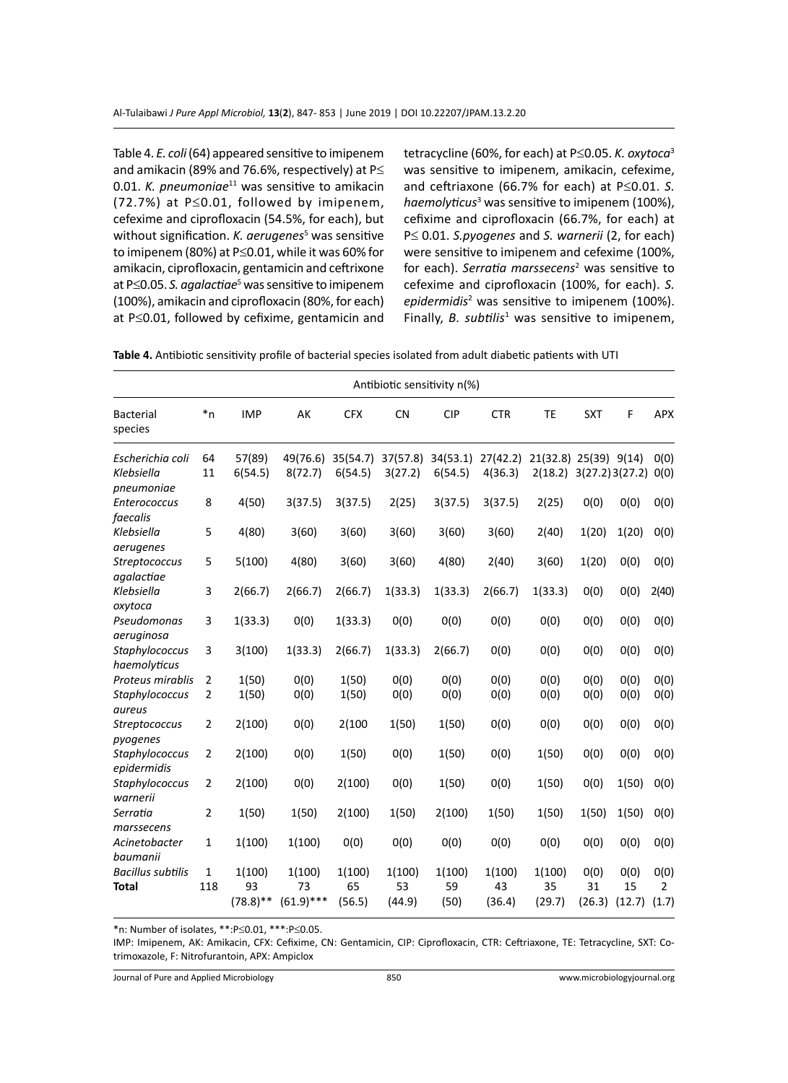Table 4. *E. coli* (64) appeared sensitive to imipenem and amikacin (89% and 76.6%, respectively) at P≤ 0.01. *K. pneumoniae*<sup>11</sup> was sensitive to amikacin (72.7%) at P≤0.01, followed by imipenem, cefexime and ciprofloxacin (54.5%, for each), but without signification. *K. aerugenes*<sup>5</sup> was sensitive to imipenem (80%) at P≤0.01, while it was 60% for amikacin, ciprofloxacin, gentamicin and ceftrixone at P≤0.05. S. agalactiae<sup>5</sup> was sensitive to imipenem (100%), amikacin and ciprofloxacin (80%, for each) at P≤0.01, followed by cefixime, gentamicin and

tetracycline (60%, for each) at P≤0.05. *K. oxytoca*<sup>3</sup> was sensitive to imipenem, amikacin, cefexime, and ceftriaxone (66.7% for each) at P≤0.01. *S. haemolyticus*<sup>3</sup> was sensitive to imipenem (100%), cefixime and ciprofloxacin (66.7%, for each) at P≤ 0.01. *S.pyogenes* and *S. warnerii* (2, for each) were sensitive to imipenem and cefexime (100%, for each). *Serratia marssecens*<sup>2</sup> was sensitive to cefexime and ciprofloxacin (100%, for each). *S. epidermidis*<sup>2</sup> was sensitive to imipenem (100%). Finally, *B. subtilis*<sup>1</sup> was sensitive to imipenem,

| Table 4. Antibiotic sensitivity profile of bacterial species isolated from adult diabetic patients with UTI |  |  |
|-------------------------------------------------------------------------------------------------------------|--|--|
|-------------------------------------------------------------------------------------------------------------|--|--|

| <b>Bacterial</b><br>species              | Antibiotic sensitivity n(%) |                             |                              |                        |                        |                      |                        |                         |                      |                      |                                 |
|------------------------------------------|-----------------------------|-----------------------------|------------------------------|------------------------|------------------------|----------------------|------------------------|-------------------------|----------------------|----------------------|---------------------------------|
|                                          | *n                          | <b>IMP</b>                  | AK                           | <b>CFX</b>             | <b>CN</b>              | <b>CIP</b>           | <b>CTR</b>             | TE                      | <b>SXT</b>           | F                    | <b>APX</b>                      |
| Escherichia coli                         | 64                          | 57(89)                      | 49(76.6)                     | 35(54.7)               | 37(57.8)               | 34(53.1)             | 27(42.2)               | 21(32.8) 25(39) 9(14)   |                      |                      | 0(0)                            |
| Klebsiella<br>pneumoniae                 | 11                          | 6(54.5)                     | 8(72.7)                      | 6(54.5)                | 3(27.2)                | 6(54.5)              | 4(36.3)                | 2(18.2) 3(27.2) 3(27.2) |                      |                      | O(0)                            |
| Enterococcus<br>faecalis                 | 8                           | 4(50)                       | 3(37.5)                      | 3(37.5)                | 2(25)                  | 3(37.5)              | 3(37.5)                | 2(25)                   | 0(0)                 | O(0)                 | O(0)                            |
| Klebsiella<br>aerugenes                  | 5                           | 4(80)                       | 3(60)                        | 3(60)                  | 3(60)                  | 3(60)                | 3(60)                  | 2(40)                   | 1(20)                | 1(20)                | O(0)                            |
| Streptococcus<br>agalactiae              | 5                           | 5(100)                      | 4(80)                        | 3(60)                  | 3(60)                  | 4(80)                | 2(40)                  | 3(60)                   | 1(20)                | O(0)                 | O(0)                            |
| Klebsiella<br>oxytoca                    | 3                           | 2(66.7)                     | 2(66.7)                      | 2(66.7)                | 1(33.3)                | 1(33.3)              | 2(66.7)                | 1(33.3)                 | O(0)                 | O(0)                 | 2(40)                           |
| Pseudomonas<br>aeruginosa                | 3                           | 1(33.3)                     | 0(0)                         | 1(33.3)                | 0(0)                   | O(0)                 | 0(0)                   | O(0)                    | 0(0)                 | O(0)                 | O(0)                            |
| Staphylococcus<br>haemolyticus           | 3                           | 3(100)                      | 1(33.3)                      | 2(66.7)                | 1(33.3)                | 2(66.7)              | 0(0)                   | O(0)                    | O(0)                 | O(0)                 | O(0)                            |
| Proteus mirablis                         | 2                           | 1(50)                       | O(0)                         | 1(50)                  | O(0)                   | 0(0)                 | O(0)                   | O(0)                    | O(0)                 | O(0)                 | 0(0)                            |
| Staphylococcus<br>aureus                 | $\overline{2}$              | 1(50)                       | O(0)                         | 1(50)                  | O(0)                   | O(0)                 | O(0)                   | O(0)                    | O(0)                 | O(0)                 | O(0)                            |
| Streptococcus<br>pyogenes                | $\overline{2}$              | 2(100)                      | 0(0)                         | 2(100                  | 1(50)                  | 1(50)                | 0(0)                   | O(0)                    | O(0)                 | O(0)                 | O(0)                            |
| Staphylococcus<br>epidermidis            | $\overline{2}$              | 2(100)                      | 0(0)                         | 1(50)                  | O(0)                   | 1(50)                | O(0)                   | 1(50)                   | O(0)                 | 0(0)                 | 0(0)                            |
| Staphylococcus<br>warnerii               | $\overline{2}$              | 2(100)                      | 0(0)                         | 2(100)                 | O(0)                   | 1(50)                | O(0)                   | 1(50)                   | O(0)                 | 1(50)                | 0(0)                            |
| Serratia<br>marssecens                   | $\overline{2}$              | 1(50)                       | 1(50)                        | 2(100)                 | 1(50)                  | 2(100)               | 1(50)                  | 1(50)                   | 1(50)                | 1(50)                | O(0)                            |
| Acinetobacter<br>baumanii                | 1                           | 1(100)                      | 1(100)                       | 0(0)                   | O(0)                   | 0(0)                 | O(0)                   | 0(0)                    | O(0)                 | 0(0)                 | O(0)                            |
| <b>Bacillus subtilis</b><br><b>Total</b> | 1<br>118                    | 1(100)<br>93<br>$(78.8)$ ** | 1(100)<br>73<br>$(61.9)$ *** | 1(100)<br>65<br>(56.5) | 1(100)<br>53<br>(44.9) | 1(100)<br>59<br>(50) | 1(100)<br>43<br>(36.4) | 1(100)<br>35<br>(29.7)  | O(0)<br>31<br>(26.3) | 0(0)<br>15<br>(12.7) | O(0)<br>$\overline{2}$<br>(1.7) |

\*n: Number of isolates, \*\*:P≤0.01, \*\*\*:P≤0.05.

IMP: Imipenem, AK: Amikacin, CFX: Cefixime, CN: Gentamicin, CIP: Ciprofloxacin, CTR: Ceftriaxone, TE: Tetracycline, SXT: Cotrimoxazole, F: Nitrofurantoin, APX: Ampiclox

Journal of Pure and Applied Microbiology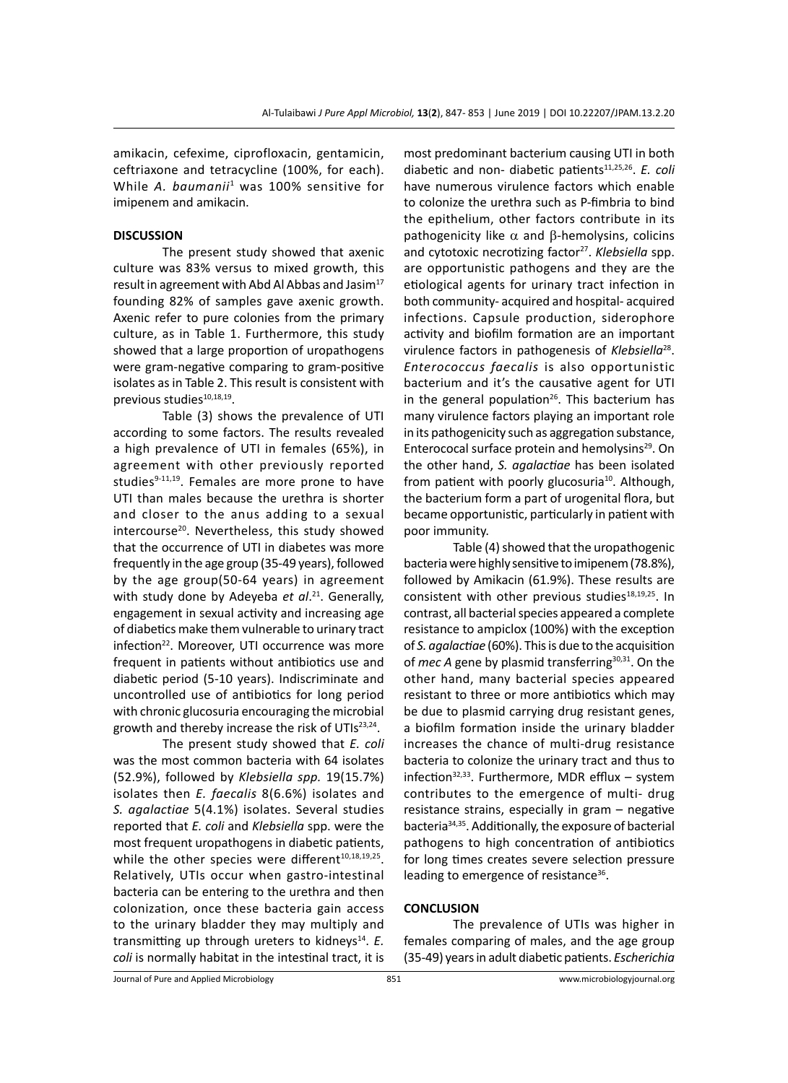amikacin, cefexime, ciprofloxacin, gentamicin, ceftriaxone and tetracycline (100%, for each). While A. baumanii<sup>1</sup> was 100% sensitive for imipenem and amikacin.

#### **DISCUSSION**

The present study showed that axenic culture was 83% versus to mixed growth, this result in agreement with Abd Al Abbas and Jasim<sup>17</sup> founding 82% of samples gave axenic growth. Axenic refer to pure colonies from the primary culture, as in Table 1. Furthermore, this study showed that a large proportion of uropathogens were gram-negative comparing to gram-positive isolates as in Table 2. This result is consistent with previous studies<sup>10,18,19</sup>.

Table (3) shows the prevalence of UTI according to some factors. The results revealed a high prevalence of UTI in females (65%), in agreement with other previously reported studies $9-11,19$ . Females are more prone to have UTI than males because the urethra is shorter and closer to the anus adding to a sexual intercourse<sup>20</sup>. Nevertheless, this study showed that the occurrence of UTI in diabetes was more frequently in the age group (35-49 years), followed by the age group(50-64 years) in agreement with study done by Adeyeba et al.<sup>21</sup>. Generally, engagement in sexual activity and increasing age of diabetics make them vulnerable to urinary tract infection<sup>22</sup>. Moreover, UTI occurrence was more frequent in patients without antibiotics use and diabetic period (5-10 years). Indiscriminate and uncontrolled use of antibiotics for long period with chronic glucosuria encouraging the microbial growth and thereby increase the risk of UTIs<sup>23,24</sup>.

The present study showed that *E. coli* was the most common bacteria with 64 isolates (52.9%), followed by *Klebsiella spp.* 19(15.7%) isolates then *E. faecalis* 8(6.6%) isolates and *S. agalactiae* 5(4.1%) isolates. Several studies reported that *E. coli* and *Klebsiella* spp. were the most frequent uropathogens in diabetic patients, while the other species were different $10,18,19,25$ . Relatively, UTIs occur when gastro-intestinal bacteria can be entering to the urethra and then colonization, once these bacteria gain access to the urinary bladder they may multiply and transmitting up through ureters to kidneys<sup>14</sup>. E. *coli* is normally habitat in the intestinal tract, it is most predominant bacterium causing UTI in both diabetic and non- diabetic patients<sup>11,25,26</sup>. *E. coli* have numerous virulence factors which enable to colonize the urethra such as P-fimbria to bind the epithelium, other factors contribute in its pathogenicity like  $\alpha$  and  $\beta$ -hemolysins, colicins and cytotoxic necrotizing factor<sup>27</sup>. *Klebsiella* spp. are opportunistic pathogens and they are the etiological agents for urinary tract infection in both community- acquired and hospital- acquired infections. Capsule production, siderophore activity and biofilm formation are an important virulence factors in pathogenesis of *Klebsiella*28. *Enterococcus faecalis* is also opportunistic bacterium and it's the causative agent for UTI in the general population $26$ . This bacterium has many virulence factors playing an important role in its pathogenicity such as aggregation substance, Enterococal surface protein and hemolysins<sup>29</sup>. On the other hand, *S. agalactiae* has been isolated from patient with poorly glucosuria<sup>10</sup>. Although, the bacterium form a part of urogenital flora, but became opportunistic, particularly in patient with poor immunity.

Table (4) showed that the uropathogenic bacteria were highly sensitive to imipenem (78.8%), followed by Amikacin (61.9%). These results are consistent with other previous studies<sup>18,19,25</sup>. In contrast, all bacterial species appeared a complete resistance to ampiclox (100%) with the exception of *S. agalactiae* (60%). This is due to the acquisition of *mec A* gene by plasmid transferring<sup>30,31</sup>. On the other hand, many bacterial species appeared resistant to three or more antibiotics which may be due to plasmid carrying drug resistant genes, a biofilm formation inside the urinary bladder increases the chance of multi-drug resistance bacteria to colonize the urinary tract and thus to infection<sup>32,33</sup>. Furthermore, MDR efflux  $-$  system contributes to the emergence of multi- drug resistance strains, especially in gram – negative bacteria34,35. Additionally, the exposure of bacterial pathogens to high concentration of antibiotics for long times creates severe selection pressure leading to emergence of resistance<sup>36</sup>.

#### **CONCLUSION**

The prevalence of UTIs was higher in females comparing of males, and the age group (35-49) years in adult diabetic patients. *Escherichia*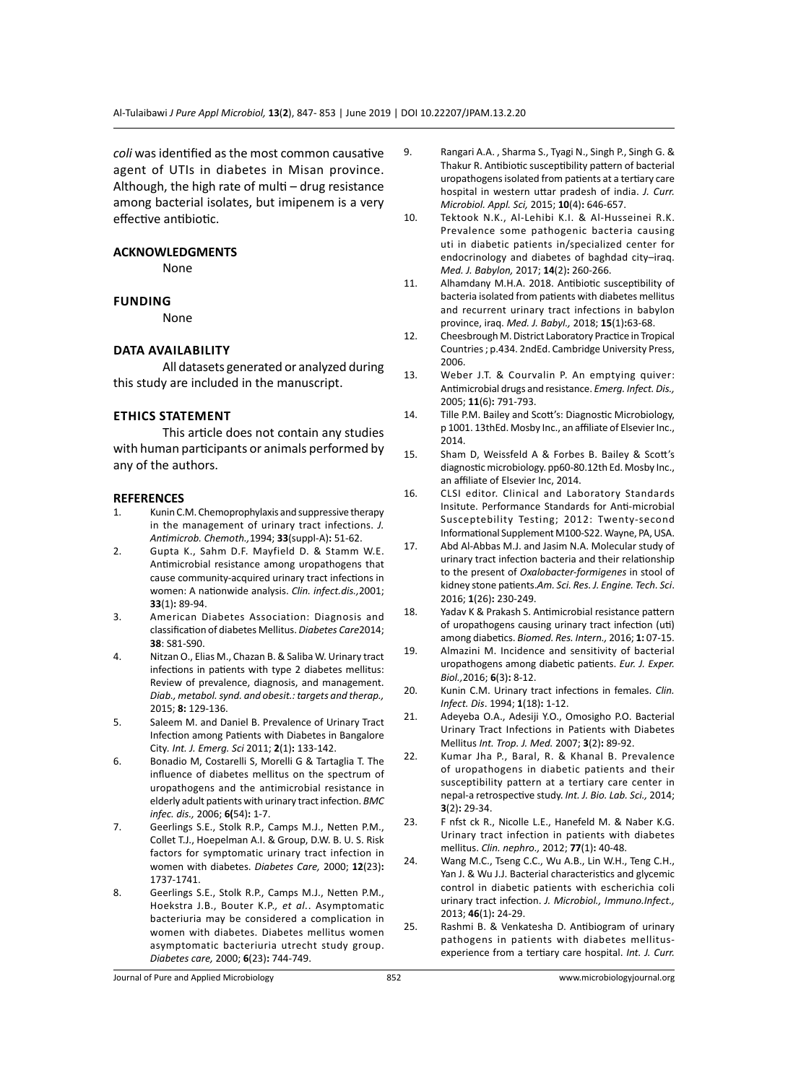*coli* was identified as the most common causative agent of UTIs in diabetes in Misan province. Although, the high rate of multi – drug resistance among bacterial isolates, but imipenem is a very effective antibiotic.

#### **ACKNOWLEDGMENTS**

None

#### **Funding**

None

#### **Data availability**

All datasets generated or analyzed during this study are included in the manuscript.

#### **Ethics Statement**

This article does not contain any studies with human participants or animals performed by any of the authors.

#### **REFERENCES**

- 1. Kunin C.M. Chemoprophylaxis and suppressive therapy in the management of urinary tract infections. *J. Antimicrob. Chemoth.,*1994; **33**(suppl-A)**:** 51-62.
- 2. Gupta K., Sahm D.F. Mayfield D. & Stamm W.E. Antimicrobial resistance among uropathogens that cause community-acquired urinary tract infections in women: A nationwide analysis. *Clin. infect.dis.,*2001; **33**(1)**:** 89-94.
- 3. American Diabetes Association: Diagnosis and classification of diabetes Mellitus. *Diabetes Care*2014; **38**: S81-S90.
- 4. Nitzan O., Elias M., Chazan B. & Saliba W. Urinary tract infections in patients with type 2 diabetes mellitus: Review of prevalence, diagnosis, and management. *Diab., metabol. synd. and obesit.: targets and therap.,* 2015; **8:** 129-136.
- 5. Saleem M. and Daniel B. Prevalence of Urinary Tract Infection among Patients with Diabetes in Bangalore City*. Int. J. Emerg. Sci* 2011; **2**(1)**:** 133-142.
- 6. Bonadio M, Costarelli S, Morelli G & Tartaglia T. The influence of diabetes mellitus on the spectrum of uropathogens and the antimicrobial resistance in elderly adult patients with urinary tract infection. *BMC infec. dis.,* 2006; **6(**54)**:** 1-7.
- 7. Geerlings S.E., Stolk R.P., Camps M.J., Netten P.M., Collet T.J., Hoepelman A.I. & Group, D.W. B. U. S. Risk factors for symptomatic urinary tract infection in women with diabetes. *Diabetes Care,* 2000; **12**(23)**:** 1737-1741.
- 8. Geerlings S.E., Stolk R.P., Camps M.J., Netten P.M., Hoekstra J.B., Bouter K.P.*, et al.*. Asymptomatic bacteriuria may be considered a complication in women with diabetes. Diabetes mellitus women asymptomatic bacteriuria utrecht study group. *Diabetes care,* 2000; **6**(23)**:** 744-749.
- 9. Rangari A.A. , Sharma S., Tyagi N., Singh P., Singh G. & Thakur R. Antibiotic susceptibility pattern of bacterial uropathogens isolated from patients at a tertiary care hospital in western uttar pradesh of india. *J. Curr. Microbiol. Appl. Sci,* 2015; **10**(4)**:** 646-657.
- 10. Tektook N.K., Al-Lehibi K.I. & Al-Husseinei R.K. Prevalence some pathogenic bacteria causing uti in diabetic patients in/specialized center for endocrinology and diabetes of baghdad city–iraq. *Med. J. Babylon,* 2017; **14**(2)**:** 260-266.
- 11. Alhamdany M.H.A. 2018. Antibiotic susceptibility of bacteria isolated from patients with diabetes mellitus and recurrent urinary tract infections in babylon province, iraq. *Med. J. Babyl.,* 2018; **15**(1)**:**63-68.
- 12. Cheesbrough M. District Laboratory Practice in Tropical Countries ; p.434. 2ndEd. Cambridge University Press, 2006.
- 13. Weber J.T. & Courvalin P. An emptying quiver: Antimicrobial drugs and resistance. *Emerg. Infect. Dis.,* 2005; **11**(6)**:** 791-793.
- 14. Tille P.M. Bailey and Scott's: Diagnostic Microbiology, p 1001. 13thEd. Mosby Inc., an affiliate of Elsevier Inc., 2014.
- 15. Sham D, Weissfeld A & Forbes B. Bailey & Scott's diagnostic microbiology. pp60-80.12th Ed. Mosby Inc., an affiliate of Elsevier Inc, 2014.
- 16. CLSI editor. Clinical and Laboratory Standards Insitute. Performance Standards for Anti-microbial Susceptebility Testing; 2012: Twenty-second Informational Supplement M100-S22. Wayne, PA, USA.
- 17. Abd Al-Abbas M.J. and Jasim N.A. Molecular study of urinary tract infection bacteria and their relationship to the present of *Oxalobacter-formigenes* in stool of kidney stone patients.*Am. Sci. Res. J. Engine. Tech. Sci*. 2016; **1**(26)**:** 230-249.
- 18. Yadav K & Prakash S. Antimicrobial resistance pattern of uropathogens causing urinary tract infection (uti) among diabetics. *Biomed. Res. Intern.,* 2016; **1:** 07-15.
- 19. Almazini M. Incidence and sensitivity of bacterial uropathogens among diabetic patients. *Eur. J. Exper. Biol.,*2016; **6**(3)**:** 8-12.
- 20. Kunin C.M. Urinary tract infections in females. *Clin. Infect. Dis*. 1994; **1**(18)**:** 1-12.
- 21. Adeyeba O.A., Adesiji Y.O., Omosigho P.O. Bacterial Urinary Tract Infections in Patients with Diabetes Mellitus *Int. Trop. J. Med.* 2007; **3**(2)**:** 89-92.
- 22. Kumar Jha P., Baral, R. & Khanal B. Prevalence of uropathogens in diabetic patients and their susceptibility pattern at a tertiary care center in nepal-a retrospective study. *Int. J. Bio. Lab. Sci.,* 2014; **3**(2)**:** 29-34.
- 23. F nfst ck R., Nicolle L.E., Hanefeld M. & Naber K.G. Urinary tract infection in patients with diabetes mellitus. *Clin. nephro.,* 2012; **77**(1)**:** 40-48.
- 24. Wang M.C., Tseng C.C., Wu A.B., Lin W.H., Teng C.H., Yan J. & Wu J.J. Bacterial characteristics and glycemic control in diabetic patients with escherichia coli urinary tract infection. *J. Microbiol., Immuno.Infect.,* 2013; **46**(1)**:** 24-29.
- 25. Rashmi B. & Venkatesha D. Antibiogram of urinary pathogens in patients with diabetes mellitusexperience from a tertiary care hospital. *Int. J. Curr.*

Journal of Pure and Applied Microbiology